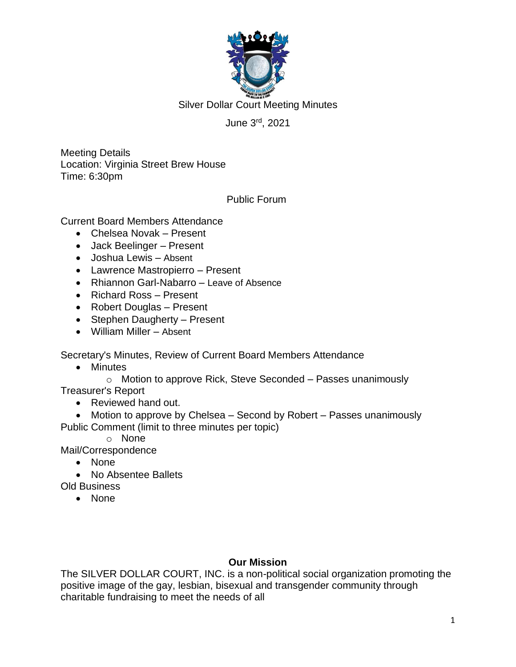

Silver Dollar Court Meeting Minutes

# June 3 rd , 2021

Meeting Details Location: Virginia Street Brew House Time: 6:30pm

Public Forum

Current Board Members Attendance

- Chelsea Novak Present
- Jack Beelinger Present
- Joshua Lewis Absent
- Lawrence Mastropierro Present
- Rhiannon Garl-Nabarro Leave of Absence
- Richard Ross Present
- Robert Douglas Present
- Stephen Daugherty Present
- William Miller Absent

Secretary's Minutes, Review of Current Board Members Attendance

• Minutes

o Motion to approve Rick, Steve Seconded – Passes unanimously Treasurer's Report

• Reviewed hand out.

• Motion to approve by Chelsea – Second by Robert – Passes unanimously Public Comment (limit to three minutes per topic)

o None

Mail/Correspondence

- None
- No Absentee Ballets

Old Business

• None

#### **Our Mission**

The SILVER DOLLAR COURT, INC. is a non-political social organization promoting the positive image of the gay, lesbian, bisexual and transgender community through charitable fundraising to meet the needs of all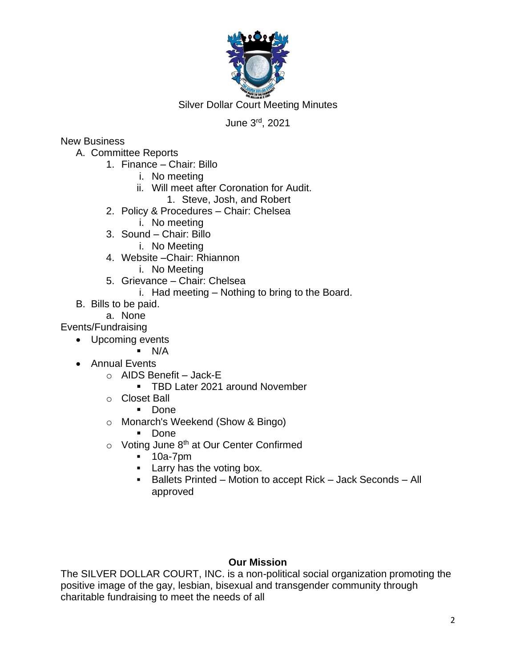

Silver Dollar Court Meeting Minutes

# June 3 rd , 2021

## New Business

- A. Committee Reports
	- 1. Finance Chair: Billo
		- i. No meeting
		- ii. Will meet after Coronation for Audit.
			- 1. Steve, Josh, and Robert
	- 2. Policy & Procedures Chair: Chelsea
		- i. No meeting
	- 3. Sound Chair: Billo
		- i. No Meeting
	- 4. Website –Chair: Rhiannon
		- i. No Meeting
	- 5. Grievance Chair: Chelsea
		- i. Had meeting Nothing to bring to the Board.
- B. Bills to be paid.
	- a. None
- Events/Fundraising
	- Upcoming events
		- $\blacksquare$  N/A
	- Annual Events
		- $\circ$  AIDS Benefit Jack-E
			- TBD Later 2021 around November
		- o Closet Ball
			- Done
		- o Monarch's Weekend (Show & Bingo)
			- Done
		- $\circ$  Voting June 8<sup>th</sup> at Our Center Confirmed
			- 10a-7pm
			- Larry has the voting box.
			- Ballets Printed Motion to accept Rick Jack Seconds All approved

# **Our Mission**

The SILVER DOLLAR COURT, INC. is a non-political social organization promoting the positive image of the gay, lesbian, bisexual and transgender community through charitable fundraising to meet the needs of all